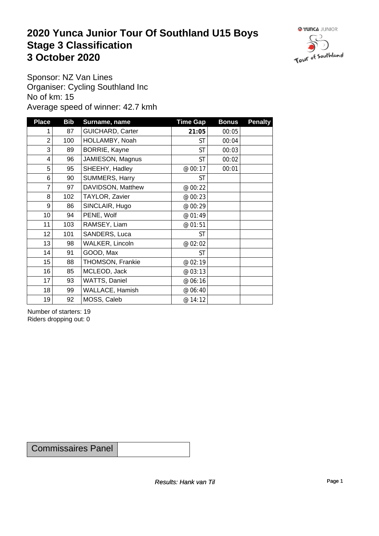### **2020 Yunca Junior Tour Of Southland U15 Boys** Stage 3 Classification<br>
3 October 2020 **3 October 2020**



Sponsor: NZ Van Lines Organiser: Cycling Southland Inc No of km: 15 Average speed of winner: 42.7 kmh

| <b>Place</b>    | <b>Bib</b> | Surname, name           | <b>Time Gap</b> | <b>Bonus</b> | <b>Penalty</b> |
|-----------------|------------|-------------------------|-----------------|--------------|----------------|
|                 | 87         | <b>GUICHARD, Carter</b> | 21:05           | 00:05        |                |
| $\overline{2}$  | 100        | HOLLAMBY, Noah          | ST              | 00:04        |                |
| 3               | 89         | BORRIE, Kayne           | <b>ST</b>       | 00:03        |                |
| 4               | 96         | JAMIESON, Magnus        | <b>ST</b>       | 00:02        |                |
| 5               | 95         | SHEEHY, Hadley          | @ 00:17         | 00:01        |                |
| 6               | 90         | SUMMERS, Harry          | <b>ST</b>       |              |                |
| $\overline{7}$  | 97         | DAVIDSON, Matthew       | @ 00:22         |              |                |
| 8               | 102        | TAYLOR, Zavier          | @ 00:23         |              |                |
| 9               | 86         | SINCLAIR, Hugo          | @ 00:29         |              |                |
| 10 <sup>1</sup> | 94         | PENE, Wolf              | @ 01:49         |              |                |
| 11              | 103        | RAMSEY, Liam            | @ 01:51         |              |                |
| 12              | 101        | SANDERS, Luca           | <b>ST</b>       |              |                |
| 13              | 98         | WALKER, Lincoln         | @ 02:02         |              |                |
| 14              | 91         | GOOD, Max               | <b>ST</b>       |              |                |
| 15              | 88         | THOMSON, Frankie        | @ 02:19         |              |                |
| 16              | 85         | MCLEOD, Jack            | @ 03:13         |              |                |
| 17              | 93         | WATTS, Daniel           | @ 06:16         |              |                |
| 18              | 99         | WALLACE, Hamish         | @ 06:40         |              |                |
| 19              | 92         | MOSS, Caleb             | @ 14:12         |              |                |

Number of starters: 19 Riders dropping out: 0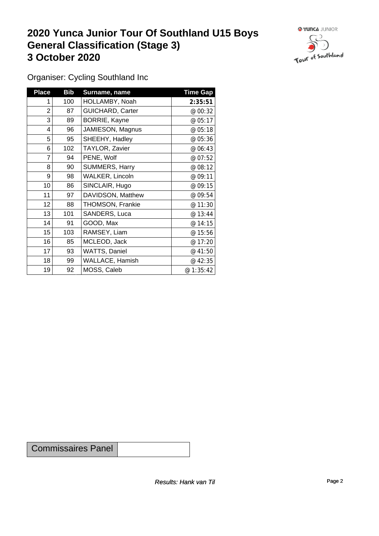### **2020 Yunca Junior Tour Of Southland U15 Boys General Classification (Stage 3)**<br> **3 October 2020 3 October 2020**



Organiser: Cycling Southland Inc

| <b>Place</b>   | <b>Bib</b> | Surname, name           | <b>Time Gap</b> |
|----------------|------------|-------------------------|-----------------|
|                | 100        | HOLLAMBY, Noah          | 2:35:51         |
| $\overline{2}$ | 87         | <b>GUICHARD, Carter</b> | @ 00:32         |
| 3              | 89         | BORRIE, Kayne           | @ 05:17         |
| 4              | 96         | JAMIESON, Magnus        | @ 05:18         |
| 5              | 95         | SHEEHY, Hadley          | @ 05:36         |
| 6              | 102        | TAYLOR, Zavier          | @ 06:43         |
| 7              | 94         | PENE, Wolf              | @ 07:52         |
| 8              | 90         | SUMMERS, Harry          | @ 08:12         |
| 9              | 98         | <b>WALKER, Lincoln</b>  | @ 09:11         |
| 10             | 86         | SINCLAIR, Hugo          | @ 09:15         |
| 11             | 97         | DAVIDSON, Matthew       | @ 09:54         |
| 12             | 88         | THOMSON, Frankie        | @ 11:30         |
| 13             | 101        | SANDERS, Luca           | @ 13:44         |
| 14             | 91         | GOOD, Max               | @ 14:15         |
| 15             | 103        | RAMSEY, Liam            | @ 15:56         |
| 16             | 85         | MCLEOD, Jack            | @ 17:20         |
| 17             | 93         | WATTS, Daniel           | @ 41:50         |
| 18             | 99         | <b>WALLACE, Hamish</b>  | @ 42:35         |
| 19             | 92         | MOSS, Caleb             | @1:35:42        |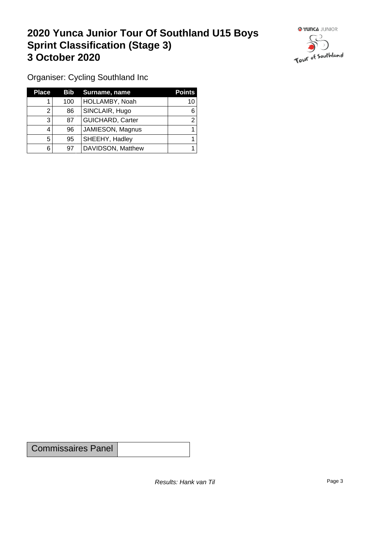# **2020 Yunca Junior Tour Of Southland U15 Boys Sprint Classification (Stage 3) 3 October 2020 1999 1999 1999 1999 1999 1999 1999 1999 1999 1999 1999 1999 1999 1999 1999 1999 1999 1999 1999 1999 1999 1999 1999 1999 1999 1999 1999 1999 1999 1**



Organiser: Cycling Southland Inc

| <b>Place</b> | Bib | Surname, name           | <b>Points</b> |
|--------------|-----|-------------------------|---------------|
|              | 100 | HOLLAMBY, Noah          | 10            |
|              | 86  | SINCLAIR, Hugo          | 6             |
| 3            | 87  | <b>GUICHARD, Carter</b> |               |
| 4            | 96  | JAMIESON, Magnus        |               |
| 5            | 95  | SHEEHY, Hadley          |               |
| 6            | 97  | DAVIDSON, Matthew       |               |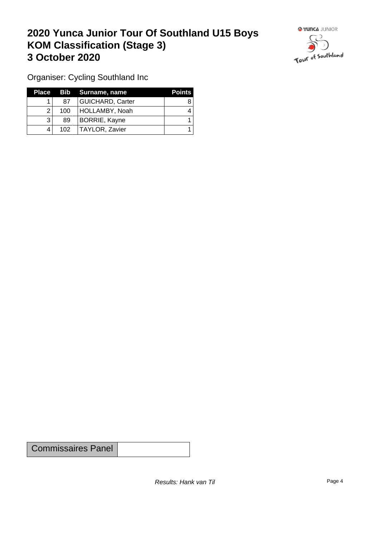# **2020 Yunca Junior Tour Of Southland U15 Boys KOM Classification (Stage 3) 3 October 2020 1999 1999 1999 1999 1999 1999 1999 1999 1999 1999 1999 1999 1999 1999 1999 1999 1999 1999 1999 1999 1999 1999 1999 1999 1999 1999 1999 1999 1999 1**



Organiser: Cycling Southland Inc

| Place |     | Bib Surname, name       | <b>Points</b> |
|-------|-----|-------------------------|---------------|
|       | 87  | <b>GUICHARD, Carter</b> |               |
|       | 100 | HOLLAMBY, Noah          |               |
|       | 89  | BORRIE, Kayne           |               |
|       | 102 | TAYLOR, Zavier          |               |